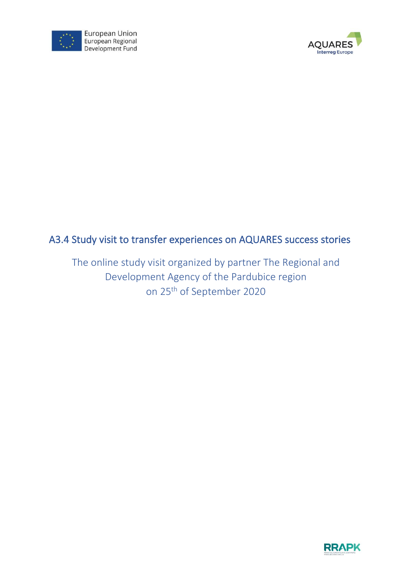



# A3.4 Study visit to transfer experiences on AQUARES success stories

The online study visit organized by partner The Regional and Development Agency of the Pardubice region on 25th of September 2020

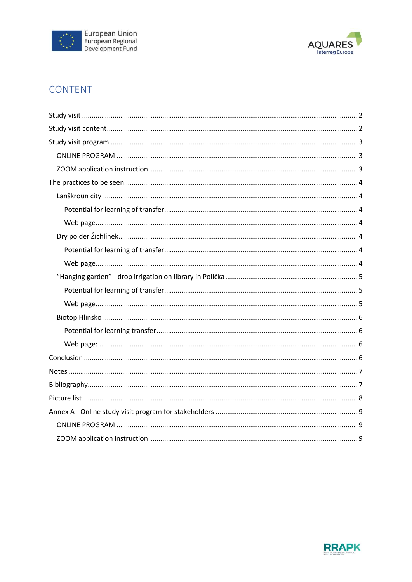



# CONTENT

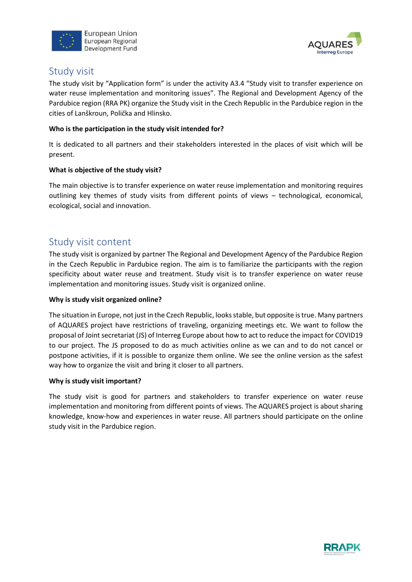



## <span id="page-2-0"></span>Study visit

The study visit by "Application form" is under the activity A3.4 "Study visit to transfer experience on water reuse implementation and monitoring issues". The Regional and Development Agency of the Pardubice region (RRA PK) organize the Study visit in the Czech Republic in the Pardubice region in the cities of Lanškroun, Polička and Hlinsko.

#### **Who is the participation in the study visit intended for?**

It is dedicated to all partners and their stakeholders interested in the places of visit which will be present.

#### **What is objective of the study visit?**

The main objective is to transfer experience on water reuse implementation and monitoring requires outlining key themes of study visits from different points of views – technological, economical, ecological, social and innovation.

## <span id="page-2-1"></span>Study visit content

The study visit is organized by partner The Regional and Development Agency of the Pardubice Region in the Czech Republic in Pardubice region. The aim is to familiarize the participants with the region specificity about water reuse and treatment. Study visit is to transfer experience on water reuse implementation and monitoring issues. Study visit is organized online.

#### **Why is study visit organized online?**

The situation in Europe, not just in the Czech Republic, looks stable, but opposite is true. Many partners of AQUARES project have restrictions of traveling, organizing meetings etc. We want to follow the proposal of Joint secretariat (JS) of Interreg Europe about how to act to reduce the impact for COVID19 to our project. The JS proposed to do as much activities online as we can and to do not cancel or postpone activities, if it is possible to organize them online. We see the online version as the safest way how to organize the visit and bring it closer to all partners.

#### **Why is study visit important?**

The study visit is good for partners and stakeholders to transfer experience on water reuse implementation and monitoring from different points of views. The AQUARES project is about sharing knowledge, know-how and experiences in water reuse. All partners should participate on the online study visit in the Pardubice region.

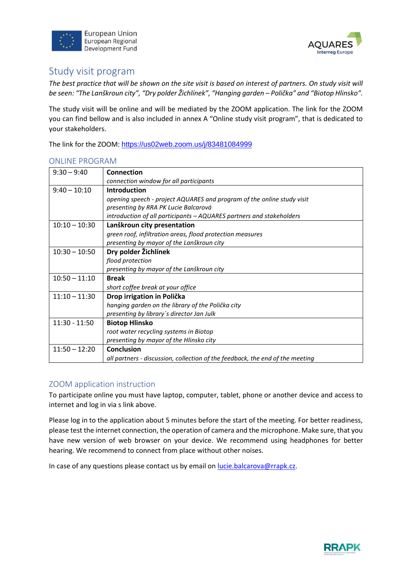



# <span id="page-3-0"></span>Study visit program

*The best practice that will be shown on the site visit is based on interest of partners. On study visit will be seen: "The Lanškroun city", "Dry polder Žichlínek", "Hanging garden – Polička" and "Biotop Hlinsko".*

The study visit will be online and will be mediated by the ZOOM application. The link for the ZOOM you can find bellow and is also included in annex A "Online study visit program", that is dedicated to your stakeholders.

The link for the ZOOM: <https://us02web.zoom.us/j/83481084999>

#### <span id="page-3-1"></span>ONLINE PROGRAM

| $9:30 - 9:40$   | Connection                                                                    |  |
|-----------------|-------------------------------------------------------------------------------|--|
|                 | connection window for all participants                                        |  |
| $9:40 - 10:10$  | <b>Introduction</b>                                                           |  |
|                 | opening speech - project AQUARES and program of the online study visit        |  |
|                 | presenting by RRA PK Lucie Balcarová                                          |  |
|                 | introduction of all participants - AQUARES partners and stakeholders          |  |
| $10:10 - 10:30$ | Lanškroun city presentation                                                   |  |
|                 | green roof, infiltration areas, flood protection measures                     |  |
|                 | presenting by mayor of the Lanškroun city                                     |  |
| $10:30 - 10:50$ | Dry polder Žichlínek                                                          |  |
|                 | flood protection                                                              |  |
|                 | presenting by mayor of the Lanškroun city                                     |  |
| $10:50 - 11:10$ | <b>Break</b>                                                                  |  |
|                 | short coffee break at your office                                             |  |
| $11:10 - 11:30$ | Drop irrigation in Polička                                                    |  |
|                 | hanging garden on the library of the Polička city                             |  |
|                 | presenting by library's director Jan Julk                                     |  |
| $11:30 - 11:50$ | <b>Biotop Hlinsko</b>                                                         |  |
|                 | root water recycling systems in Biotop                                        |  |
|                 | presenting by mayor of the Hlinsko city                                       |  |
| $11:50 - 12:20$ | <b>Conclusion</b>                                                             |  |
|                 | all partners - discussion, collection of the feedback, the end of the meeting |  |

### <span id="page-3-2"></span>ZOOM application instruction

To participate online you must have laptop, computer, tablet, phone or another device and access to internet and log in via s link above.

Please log in to the application about 5 minutes before the start of the meeting. For better readiness, please test the internet connection, the operation of camera and the microphone. Make sure, that you have new version of web browser on your device. We recommend using headphones for better hearing. We recommend to connect from place without other noises.

In case of any questions please contact us by email on [lucie.balcarova@rrapk.cz.](mailto:lucie.balcarova@rrapk.cz)

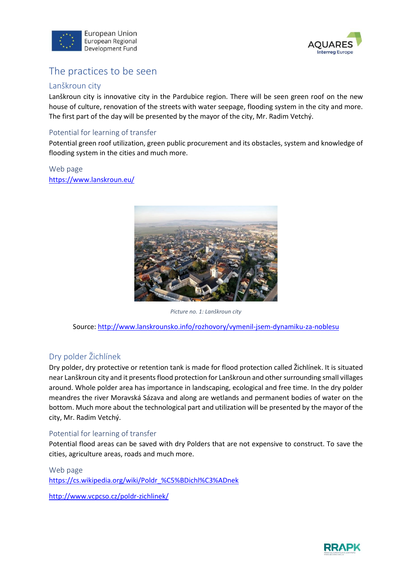



# <span id="page-4-0"></span>The practices to be seen

#### <span id="page-4-1"></span>Lanškroun city

Lanškroun city is innovative city in the Pardubice region. There will be seen green roof on the new house of culture, renovation of the streets with water seepage, flooding system in the city and more. The first part of the day will be presented by the mayor of the city, Mr. Radim Vetchý.

### <span id="page-4-2"></span>Potential for learning of transfer

Potential green roof utilization, green public procurement and its obstacles, system and knowledge of flooding system in the cities and much more.

<span id="page-4-3"></span>Web page <https://www.lanskroun.eu/>



*Picture no. 1: Lanškroun city*

<span id="page-4-7"></span>Source:<http://www.lanskrounsko.info/rozhovory/vymenil-jsem-dynamiku-za-noblesu>

### <span id="page-4-4"></span>Dry polder Žichlínek

Dry polder, dry protective or retention tank is made for flood protection called Žichlínek. It is situated near Lanškroun city and it presentsflood protection for Lanškroun and other surrounding small villages around. Whole polder area has importance in landscaping, ecological and free time. In the dry polder meandres the river Moravská Sázava and along are wetlands and permanent bodies of water on the bottom. Much more about the technological part and utilization will be presented by the mayor of the city, Mr. Radim Vetchý.

### <span id="page-4-5"></span>Potential for learning of transfer

Potential flood areas can be saved with dry Polders that are not expensive to construct. To save the cities, agriculture areas, roads and much more.

#### <span id="page-4-6"></span>Web page

[https://cs.wikipedia.org/wiki/Poldr\\_%C5%BDichl%C3%ADnek](https://cs.wikipedia.org/wiki/Poldr_%C5%BDichl%C3%ADnek)

<http://www.vcpcso.cz/poldr-zichlinek/>

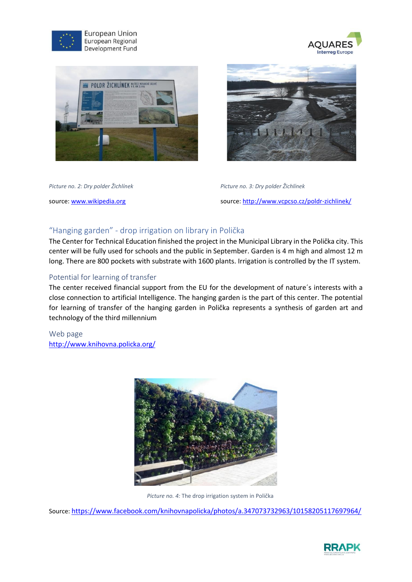





<span id="page-5-3"></span>



*Picture no. 2: Dry polder Žichlínek Picture no. 3: Dry polder Žichlínek* source: [www.wikipedia.org](http://www.wikipedia.org/) source[: http://www.vcpcso.cz/poldr-zichlinek/](http://www.vcpcso.cz/poldr-zichlinek/)

### <span id="page-5-0"></span>"Hanging garden" - drop irrigation on library in Polička

The Center for Technical Education finished the project in the Municipal Library in the Polička city. This center will be fully used for schools and the public in September. Garden is 4 m high and almost 12 m long. There are 800 pockets with substrate with 1600 plants. Irrigation is controlled by the IT system.

### <span id="page-5-1"></span>Potential for learning of transfer

The center received financial support from the EU for the development of nature´s interests with a close connection to artificial Intelligence. The hanging garden is the part of this center. The potential for learning of transfer of the hanging garden in Polička represents a synthesis of garden art and technology of the third millennium

<span id="page-5-2"></span>Web page <http://www.knihovna.policka.org/>



*Picture no. 4:* The drop irrigation system in Polička

<span id="page-5-4"></span>Source: <https://www.facebook.com/knihovnapolicka/photos/a.347073732963/10158205117697964/>

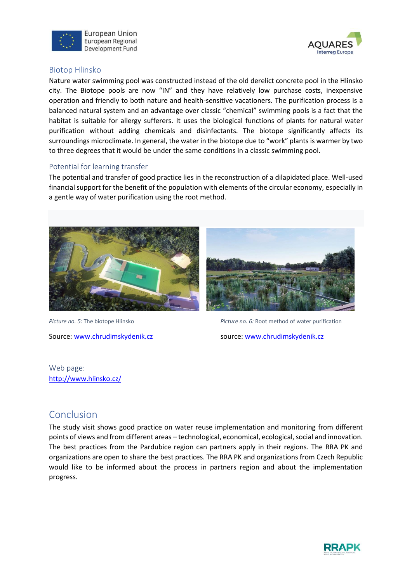



### <span id="page-6-0"></span>Biotop Hlinsko

Nature water swimming pool was constructed instead of the old derelict concrete pool in the Hlinsko city. The Biotope pools are now "IN" and they have relatively low purchase costs, inexpensive operation and friendly to both nature and health-sensitive vacationers. The purification process is a balanced natural system and an advantage over classic "chemical" swimming pools is a fact that the habitat is suitable for allergy sufferers. It uses the biological functions of plants for natural water purification without adding chemicals and disinfectants. The biotope significantly affects its surroundings microclimate. In general, the water in the biotope due to "work" plants is warmer by two to three degrees that it would be under the same conditions in a classic swimming pool.

### <span id="page-6-1"></span>Potential for learning transfer

The potential and transfer of good practice lies in the reconstruction of a dilapidated place. Well-used financial support for the benefit of the population with elements of the circular economy, especially in a gentle way of water purification using the root method.





<span id="page-6-4"></span>*Picture no. 5:* The biotope Hlinsko *Picture no. 6:* Root method of water purification

Source: [www.chrudimskydenik.cz](http://www.chrudimskydenik.cz/) source: www.chrudimskydenik.cz

<span id="page-6-2"></span>Web page: <http://www.hlinsko.cz/>

## <span id="page-6-3"></span>Conclusion

The study visit shows good practice on water reuse implementation and monitoring from different points of views and from different areas – technological, economical, ecological, social and innovation. The best practices from the Pardubice region can partners apply in their regions. The RRA PK and organizations are open to share the best practices. The RRA PK and organizations from Czech Republic would like to be informed about the process in partners region and about the implementation progress.

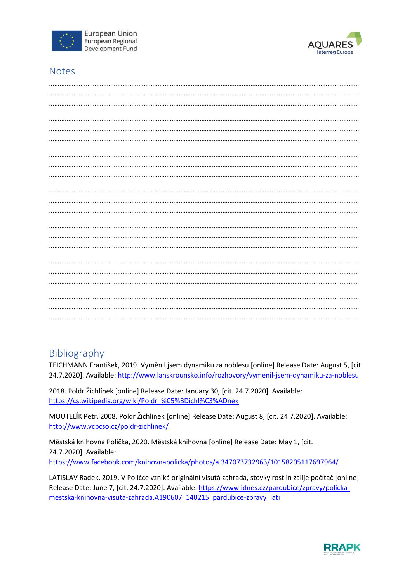



# <span id="page-7-0"></span>**Notes**

## <span id="page-7-1"></span>Bibliography

TEICHMANN František, 2019. Vyměnil jsem dynamiku za noblesu [online] Release Date: August 5, [cit. 24.7.2020]. Available:<http://www.lanskrounsko.info/rozhovory/vymenil-jsem-dynamiku-za-noblesu>

2018. Poldr Žichlínek [online] Release Date: January 30, [cit. 24.7.2020]. Available: [https://cs.wikipedia.org/wiki/Poldr\\_%C5%BDichl%C3%ADnek](https://cs.wikipedia.org/wiki/Poldr_%C5%BDichl%C3%ADnek)

MOUTELÍK Petr, 2008. Poldr Žichlínek [online] Release Date: August 8, [cit. 24.7.2020]. Available: <http://www.vcpcso.cz/poldr-zichlinek/>

Městská knihovna Polička, 2020. Městská knihovna [online] Release Date: May 1, [cit. 24.7.2020]. Available: <https://www.facebook.com/knihovnapolicka/photos/a.347073732963/10158205117697964/>

LATISLAV Radek, 2019, V Poličce vzniká originální visutá zahrada, stovky rostlin zalije počítač [online] Release Date: June 7, [cit. 24.7.2020]. Available: [https://www.idnes.cz/pardubice/zpravy/policka](https://www.idnes.cz/pardubice/zpravy/policka-mestska-knihovna-visuta-zahrada.A190607_140215_pardubice-zpravy_lati)[mestska-knihovna-visuta-zahrada.A190607\\_140215\\_pardubice-zpravy\\_lati](https://www.idnes.cz/pardubice/zpravy/policka-mestska-knihovna-visuta-zahrada.A190607_140215_pardubice-zpravy_lati)

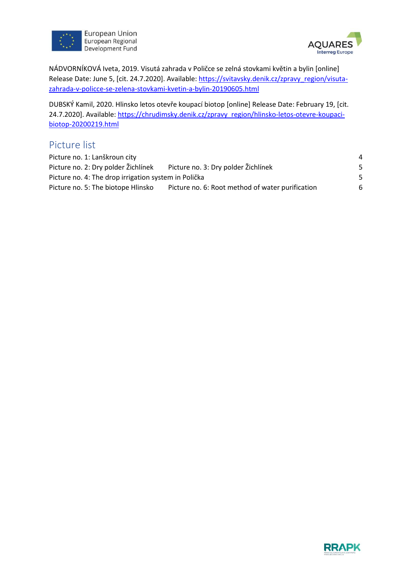



NÁDVORNÍKOVÁ Iveta, 2019. Visutá zahrada v Poličce se zelná stovkami květin a bylin [online] Release Date: June 5, [cit. 24.7.2020]. Available: [https://svitavsky.denik.cz/zpravy\\_region/visuta](https://svitavsky.denik.cz/zpravy_region/visuta-zahrada-v-policce-se-zelena-stovkami-kvetin-a-bylin-20190605.html)[zahrada-v-policce-se-zelena-stovkami-kvetin-a-bylin-20190605.html](https://svitavsky.denik.cz/zpravy_region/visuta-zahrada-v-policce-se-zelena-stovkami-kvetin-a-bylin-20190605.html)

DUBSKÝ Kamil, 2020. Hlinsko letos otevře koupací biotop [online] Release Date: February 19, [cit. 24.7.2020]. Available: [https://chrudimsky.denik.cz/zpravy\\_region/hlinsko-letos-otevre-koupaci](https://chrudimsky.denik.cz/zpravy_region/hlinsko-letos-otevre-koupaci-biotop-20200219.html)[biotop-20200219.html](https://chrudimsky.denik.cz/zpravy_region/hlinsko-letos-otevre-koupaci-biotop-20200219.html)

## <span id="page-8-0"></span>Picture list

| Picture no. 1: Lanškroun city                        |                                                  | $\overline{a}$ |
|------------------------------------------------------|--------------------------------------------------|----------------|
| Picture no. 2: Dry polder Žichlínek                  | Picture no. 3: Dry polder Žichlínek              | .5             |
| Picture no. 4: The drop irrigation system in Polička |                                                  | -5             |
| Picture no. 5: The biotope Hlinsko                   | Picture no. 6: Root method of water purification | 6              |